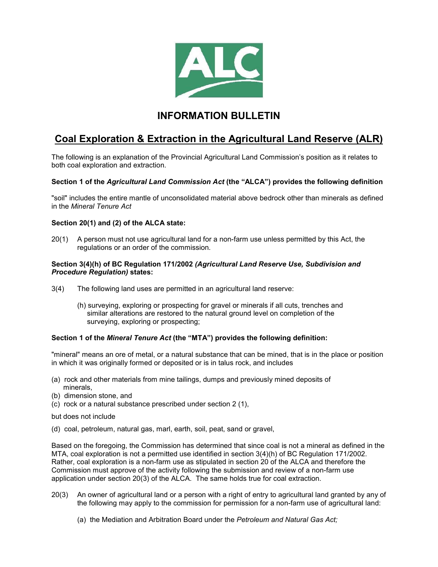

## **INFORMATION BULLETIN**

# **Coal Exploration & Extraction in the Agricultural Land Reserve (ALR)**

The following is an explanation of the Provincial Agricultural Land Commission's position as it relates to both coal exploration and extraction.

### **Section 1 of the** *Agricultural Land Commission Act* **(the "ALCA") provides the following definition**

"soil" includes the entire mantle of unconsolidated material above bedrock other than minerals as defined in the *Mineral Tenure Act*

### **Section 20(1) and (2) of the ALCA state:**

20(1) A person must not use agricultural land for a non-farm use unless permitted by this Act, the regulations or an order of the commission.

#### **Section 3(4)(h) of BC Regulation 171/2002** *(Agricultural Land Reserve Use, Subdivision and Procedure Regulation)* **states:**

- 3(4) The following land uses are permitted in an agricultural land reserve:
	- (h) surveying, exploring or prospecting for gravel or minerals if all cuts, trenches and similar alterations are restored to the natural ground level on completion of the surveying, exploring or prospecting;

#### **Section 1 of the** *Mineral Tenure Act* **(the "MTA") provides the following definition:**

"mineral" means an ore of metal, or a natural substance that can be mined, that is in the place or position in which it was originally formed or deposited or is in talus rock, and includes

- (a) rock and other materials from mine tailings, dumps and previously mined deposits of minerals,
- (b) dimension stone, and
- (c) rock or a natural substance prescribed under section 2 (1),

but does not include

(d) coal, petroleum, natural gas, marl, earth, soil, peat, sand or gravel,

Based on the foregoing, the Commission has determined that since coal is not a mineral as defined in the MTA, coal exploration is not a permitted use identified in section 3(4)(h) of BC Regulation 171/2002. Rather, coal exploration is a non-farm use as stipulated in section 20 of the ALCA and therefore the Commission must approve of the activity following the submission and review of a non-farm use application under section 20(3) of the ALCA. The same holds true for coal extraction.

- 20(3) An owner of agricultural land or a person with a right of entry to agricultural land granted by any of the following may apply to the commission for permission for a non-farm use of agricultural land:
	- (a) the Mediation and Arbitration Board under the *Petroleum and Natural Gas Act;*